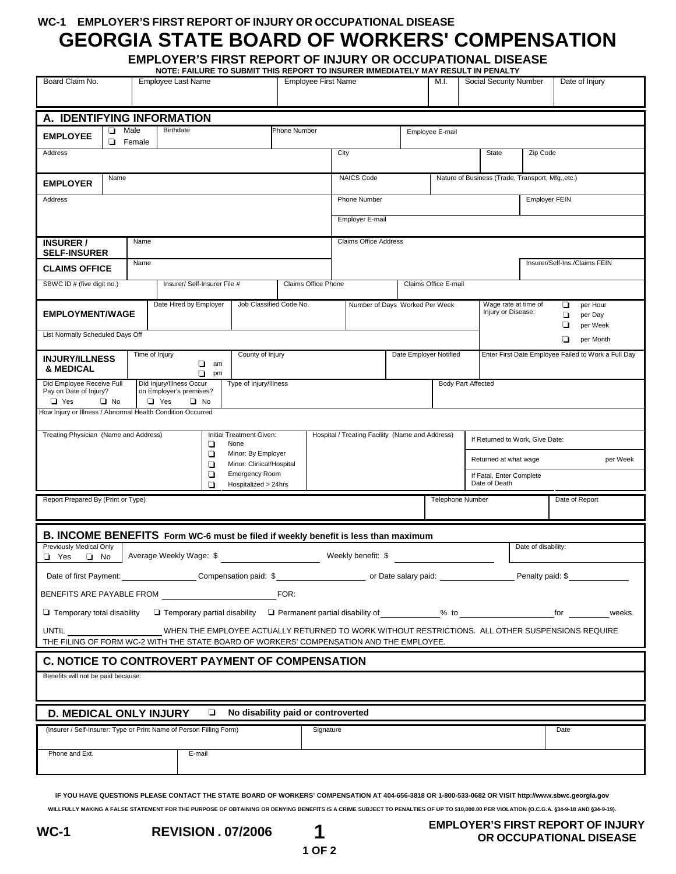### **WC-1 EMPLOYER'S FIRST REPORT OF INJURY OR OCCUPATIONAL DISEASE**

# **GEORGIA STATE BOARD OF WORKERS' COMPENSATION**

**EMPLOYER'S FIRST REPORT OF INJURY OR OCCUPATIONAL DISEASE NOTE: FAILURE TO SUBMIT THIS REPORT TO INSURER IMMEDIATELY MAY RESULT IN PENALTY** 

| Board Claim No.                                                                                                                                                                                            |        | <b>Employee Last Name</b> |                                                                | <b>Employee First Name</b>                                          |      |                                             |                                | M.I.                   | .<br>Social Security Number |  | Date of Injury                                                                                |                                                     |  |
|------------------------------------------------------------------------------------------------------------------------------------------------------------------------------------------------------------|--------|---------------------------|----------------------------------------------------------------|---------------------------------------------------------------------|------|---------------------------------------------|--------------------------------|------------------------|-----------------------------|--|-----------------------------------------------------------------------------------------------|-----------------------------------------------------|--|
| A. IDENTIFYING INFORMATION                                                                                                                                                                                 |        |                           |                                                                |                                                                     |      |                                             |                                |                        |                             |  |                                                                                               |                                                     |  |
| Male<br>Birthdate<br>❏<br><b>Phone Number</b><br>Employee E-mail<br><b>EMPLOYEE</b><br>▫<br>Female                                                                                                         |        |                           |                                                                |                                                                     |      |                                             |                                |                        |                             |  |                                                                                               |                                                     |  |
| Address                                                                                                                                                                                                    |        |                           |                                                                |                                                                     | City |                                             |                                | <b>State</b>           |                             |  | Zip Code                                                                                      |                                                     |  |
| Name<br><b>EMPLOYER</b>                                                                                                                                                                                    |        |                           |                                                                |                                                                     |      |                                             | <b>NAICS Code</b>              |                        |                             |  | Nature of Business (Trade, Transport, Mfg.,etc.)                                              |                                                     |  |
| Address                                                                                                                                                                                                    |        |                           |                                                                |                                                                     |      |                                             | Phone Number                   |                        |                             |  | <b>Employer FEIN</b>                                                                          |                                                     |  |
|                                                                                                                                                                                                            |        |                           |                                                                |                                                                     |      |                                             | <b>Employer E-mail</b>         |                        |                             |  |                                                                                               |                                                     |  |
| <b>INSURER /</b><br><b>SELF-INSURER</b>                                                                                                                                                                    |        | Name                      |                                                                |                                                                     |      |                                             | <b>Claims Office Address</b>   |                        |                             |  |                                                                                               |                                                     |  |
| <b>CLAIMS OFFICE</b>                                                                                                                                                                                       |        | Name                      |                                                                |                                                                     |      |                                             |                                |                        |                             |  | Insurer/Self-Ins./Claims FEIN                                                                 |                                                     |  |
| SBWC ID # (five digit no.)                                                                                                                                                                                 |        |                           | Insurer/ Self-Insurer File #                                   |                                                                     |      | Claims Office Phone<br>Claims Office E-mail |                                |                        |                             |  |                                                                                               |                                                     |  |
| <b>EMPLOYMENT/WAGE</b>                                                                                                                                                                                     |        |                           | Date Hired by Employer<br>Job Classified Code No.              |                                                                     |      |                                             | Number of Days Worked Per Week |                        |                             |  | Wage rate at time of<br>per Hour<br>o.<br>Injury or Disease:<br>❏<br>per Day<br>◘<br>per Week |                                                     |  |
| List Normally Scheduled Days Off<br>❏<br>per Month                                                                                                                                                         |        |                           |                                                                |                                                                     |      |                                             |                                |                        |                             |  |                                                                                               |                                                     |  |
| <b>INJURY/ILLNESS</b><br>& MEDICAL                                                                                                                                                                         |        |                           | Time of Injury<br>County of Injury<br>□<br>am                  |                                                                     |      |                                             |                                | Date Employer Notified |                             |  |                                                                                               | Enter First Date Employee Failed to Work a Full Day |  |
| Did Employee Receive Full<br>Pay on Date of Injury?                                                                                                                                                        |        |                           | ❏<br>pm<br>Did Injury/Illness Occur<br>on Employer's premises? | Type of Injury/Illness                                              |      |                                             | <b>Body Part Affected</b>      |                        |                             |  |                                                                                               |                                                     |  |
| $\Box$ No<br>$\Box$ Yes<br>$\Box$ No<br>$\Box$ Yes<br>How Injury or Illness / Abnormal Health Condition Occurred                                                                                           |        |                           |                                                                |                                                                     |      |                                             |                                |                        |                             |  |                                                                                               |                                                     |  |
| Treating Physician (Name and Address)<br>Initial Treatment Given:<br>Hospital / Treating Facility (Name and Address)                                                                                       |        |                           |                                                                |                                                                     |      |                                             |                                |                        |                             |  |                                                                                               |                                                     |  |
|                                                                                                                                                                                                            |        |                           | ❏                                                              | None<br>◘<br>Minor: By Employer                                     |      |                                             |                                |                        |                             |  | If Returned to Work, Give Date:                                                               |                                                     |  |
|                                                                                                                                                                                                            |        | ❏                         | Minor: Clinical/Hospital                                       |                                                                     |      |                                             |                                |                        | Returned at what wage       |  | per Week                                                                                      |                                                     |  |
| <b>Emergency Room</b><br>❏<br>Hospitalized > 24hrs<br>П                                                                                                                                                    |        |                           |                                                                |                                                                     |      |                                             |                                |                        |                             |  | If Fatal, Enter Complete<br>Date of Death                                                     |                                                     |  |
| Report Prepared By (Print or Type)                                                                                                                                                                         |        |                           |                                                                |                                                                     |      |                                             | <b>Telephone Number</b>        |                        |                             |  | Date of Report                                                                                |                                                     |  |
|                                                                                                                                                                                                            |        |                           |                                                                |                                                                     |      |                                             |                                |                        |                             |  |                                                                                               |                                                     |  |
| B. INCOME BENEFITS Form WC-6 must be filed if weekly benefit is less than maximum<br>Previously Medical Only<br>Date of disability:<br>Average Weekly Wage: \$<br>Weekly benefit: \$<br>□ Yes<br>$\Box$ No |        |                           |                                                                |                                                                     |      |                                             |                                |                        |                             |  |                                                                                               |                                                     |  |
| Date of first Payment:                                                                                                                                                                                     |        |                           |                                                                |                                                                     |      |                                             |                                |                        |                             |  |                                                                                               |                                                     |  |
| BENEFITS ARE PAYABLE FROM<br>FOR:                                                                                                                                                                          |        |                           |                                                                |                                                                     |      |                                             |                                |                        |                             |  |                                                                                               |                                                     |  |
| $\Box$ Temporary total disability<br>$\Box$ Temporary partial disability $\Box$ Permanent partial disability of $\%$ to<br>for $\qquad$<br>weeks.                                                          |        |                           |                                                                |                                                                     |      |                                             |                                |                        |                             |  |                                                                                               |                                                     |  |
| UNTIL<br>WHEN THE EMPLOYEE ACTUALLY RETURNED TO WORK WITHOUT RESTRICTIONS. ALL OTHER SUSPENSIONS REQUIRE                                                                                                   |        |                           |                                                                |                                                                     |      |                                             |                                |                        |                             |  |                                                                                               |                                                     |  |
| THE FILING OF FORM WC-2 WITH THE STATE BOARD OF WORKERS' COMPENSATION AND THE EMPLOYEE.                                                                                                                    |        |                           |                                                                |                                                                     |      |                                             |                                |                        |                             |  |                                                                                               |                                                     |  |
| <b>C. NOTICE TO CONTROVERT PAYMENT OF COMPENSATION</b>                                                                                                                                                     |        |                           |                                                                |                                                                     |      |                                             |                                |                        |                             |  |                                                                                               |                                                     |  |
| Benefits will not be paid because:                                                                                                                                                                         |        |                           |                                                                |                                                                     |      |                                             |                                |                        |                             |  |                                                                                               |                                                     |  |
| No disability paid or controverted<br><b>D. MEDICAL ONLY INJURY</b><br>$\Box$                                                                                                                              |        |                           |                                                                |                                                                     |      |                                             |                                |                        |                             |  |                                                                                               |                                                     |  |
|                                                                                                                                                                                                            |        |                           |                                                                | (Insurer / Self-Insurer: Type or Print Name of Person Filling Form) |      |                                             | Signature                      |                        |                             |  |                                                                                               | Date                                                |  |
| Phone and Ext.                                                                                                                                                                                             | E-mail |                           |                                                                |                                                                     |      |                                             |                                |                        |                             |  |                                                                                               |                                                     |  |
|                                                                                                                                                                                                            |        |                           |                                                                |                                                                     |      |                                             |                                |                        |                             |  |                                                                                               |                                                     |  |

**IF YOU HAVE QUESTIONS PLEASE CONTACT THE STATE BOARD OF WORKERS' COMPENSATION AT 404-656-3818 OR 1-800-533-0682 OR VISIT http://www.sbwc.georgia.gov** WILLFULLY MAKING A FALSE STATEMENT FOR THE PURPOSE OF OBTAINING OR DENYING BENEFITS IS A CRIME SUBJECT TO PENALTIES OF UP TO \$10,000.00 PER VIOLATION (O.C.G.A. §34-9-18 AND §34-9-19).

 **1 OF 2**